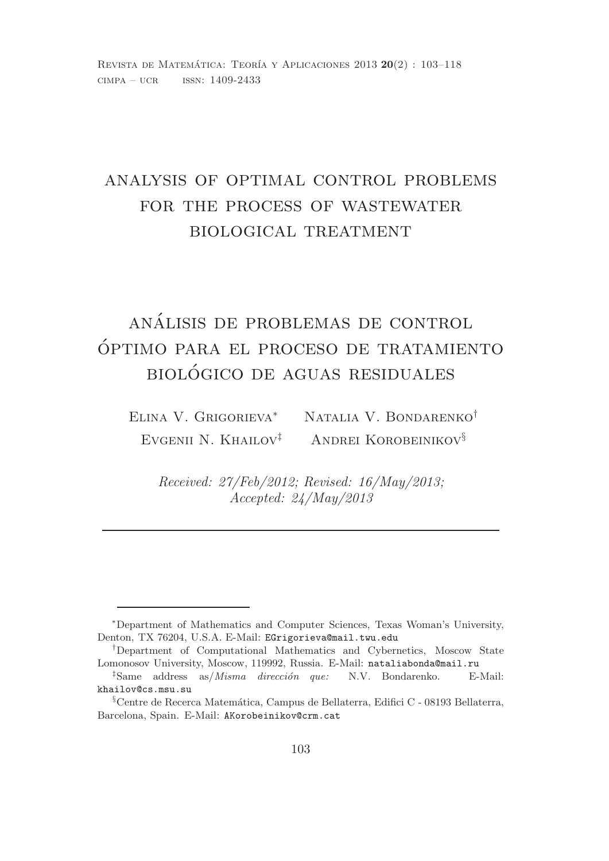## analysis of optimal control problems for the process of wastewater biological treatment

# analisis de problemas de control ´ optimo para el proceso de tratamiento ´ biologico de aguas residuales ´

Elina V. Grigorieva<sup>∗</sup> Natalia V. Bondarenko† EVGENII N. KHAILOV<sup>‡</sup> ANDREI KOROBEINIKOV<sup>§</sup>

Received: 27/Feb/2012; Revised: 16/May/2013; Accepted: 24/May/2013

<sup>∗</sup>Department of Mathematics and Computer Sciences, Texas Woman's University, Denton, TX 76204, U.S.A. E-Mail: EGrigorieva@mail.twu.edu

<sup>†</sup>Department of Computational Mathematics and Cybernetics, Moscow State Lomonosov University, Moscow, 119992, Russia. E-Mail: nataliabonda@mail.ru

 $\frac{1}{2}$ Same address as/*Misma dirección que:* N.V. Bondarenko. E-Mail: khailov@cs.msu.su

 $\S$ Centre de Recerca Matemática, Campus de Bellaterra, Edifici C - 08193 Bellaterra, Barcelona, Spain. E-Mail: AKorobeinikov@crm.cat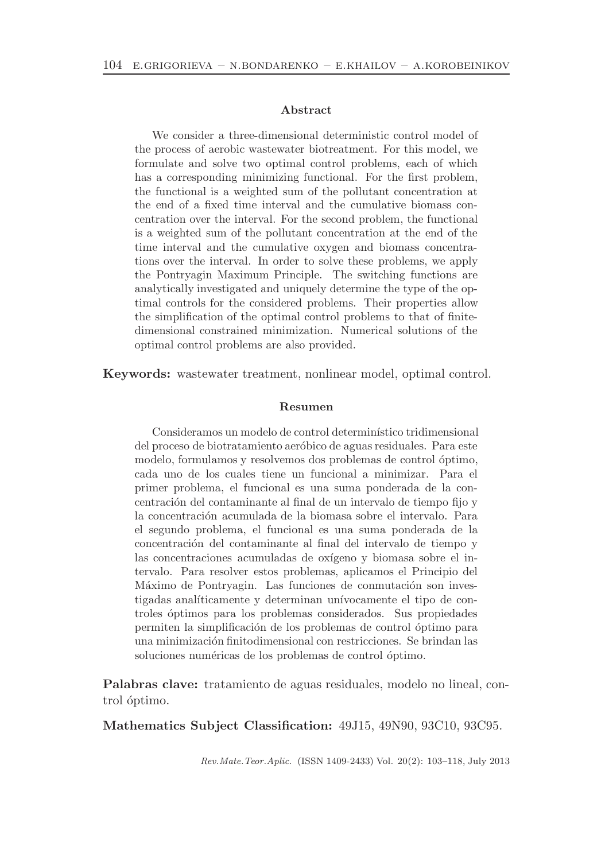#### Abstract

We consider a three-dimensional deterministic control model of the process of aerobic wastewater biotreatment. For this model, we formulate and solve two optimal control problems, each of which has a corresponding minimizing functional. For the first problem, the functional is a weighted sum of the pollutant concentration at the end of a fixed time interval and the cumulative biomass concentration over the interval. For the second problem, the functional is a weighted sum of the pollutant concentration at the end of the time interval and the cumulative oxygen and biomass concentrations over the interval. In order to solve these problems, we apply the Pontryagin Maximum Principle. The switching functions are analytically investigated and uniquely determine the type of the optimal controls for the considered problems. Their properties allow the simplification of the optimal control problems to that of finitedimensional constrained minimization. Numerical solutions of the optimal control problems are also provided.

Keywords: wastewater treatment, nonlinear model, optimal control.

#### Resumen

Consideramos un modelo de control determinístico tridimensional del proceso de biotratamiento aeróbico de aguas residuales. Para este modelo, formulamos y resolvemos dos problemas de control óptimo, cada uno de los cuales tiene un funcional a minimizar. Para el primer problema, el funcional es una suma ponderada de la concentración del contaminante al final de un intervalo de tiempo fijo y la concentración acumulada de la biomasa sobre el intervalo. Para el segundo problema, el funcional es una suma ponderada de la concentración del contaminante al final del intervalo de tiempo y las concentraciones acumuladas de oxígeno y biomasa sobre el intervalo. Para resolver estos problemas, aplicamos el Principio del Máximo de Pontryagin. Las funciones de conmutación son investigadas analíticamente y determinan unívocamente el tipo de controles ´optimos para los problemas considerados. Sus propiedades permiten la simplificación de los problemas de control óptimo para una minimización finitodimensional con restricciones. Se brindan las soluciones numéricas de los problemas de control óptimo.

Palabras clave: tratamiento de aguas residuales, modelo no lineal, control óptimo.

Mathematics Subject Classification: 49J15, 49N90, 93C10, 93C95.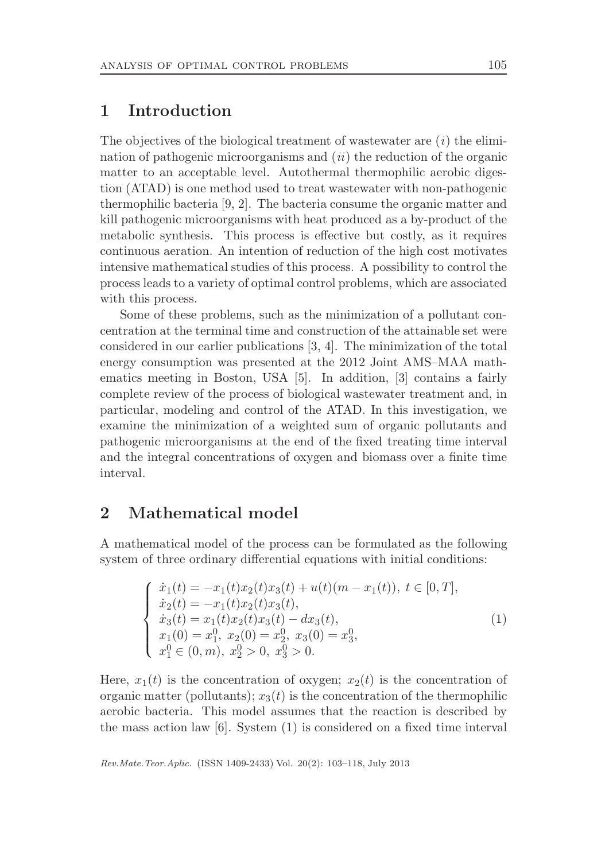### 1 Introduction

The objectives of the biological treatment of wastewater are  $(i)$  the elimination of pathogenic microorganisms and  $(ii)$  the reduction of the organic matter to an acceptable level. Autothermal thermophilic aerobic digestion (ATAD) is one method used to treat wastewater with non-pathogenic thermophilic bacteria [9, 2]. The bacteria consume the organic matter and kill pathogenic microorganisms with heat produced as a by-product of the metabolic synthesis. This process is effective but costly, as it requires continuous aeration. An intention of reduction of the high cost motivates intensive mathematical studies of this process. A possibility to control the process leads to a variety of optimal control problems, which are associated with this process.

Some of these problems, such as the minimization of a pollutant concentration at the terminal time and construction of the attainable set were considered in our earlier publications [3, 4]. The minimization of the total energy consumption was presented at the 2012 Joint AMS–MAA mathematics meeting in Boston, USA [5]. In addition, [3] contains a fairly complete review of the process of biological wastewater treatment and, in particular, modeling and control of the ATAD. In this investigation, we examine the minimization of a weighted sum of organic pollutants and pathogenic microorganisms at the end of the fixed treating time interval and the integral concentrations of oxygen and biomass over a finite time interval.

### 2 Mathematical model

A mathematical model of the process can be formulated as the following system of three ordinary differential equations with initial conditions:

$$
\begin{cases}\n\dot{x}_1(t) = -x_1(t)x_2(t)x_3(t) + u(t)(m - x_1(t)), \ t \in [0, T], \\
\dot{x}_2(t) = -x_1(t)x_2(t)x_3(t), \\
\dot{x}_3(t) = x_1(t)x_2(t)x_3(t) - dx_3(t), \\
x_1(0) = x_1^0, \ x_2(0) = x_2^0, \ x_3(0) = x_3^0, \\
x_1^0 \in (0, m), \ x_2^0 > 0, \ x_3^0 > 0.\n\end{cases}
$$
\n(1)

Here,  $x_1(t)$  is the concentration of oxygen;  $x_2(t)$  is the concentration of organic matter (pollutants);  $x_3(t)$  is the concentration of the thermophilic aerobic bacteria. This model assumes that the reaction is described by the mass action law [6]. System (1) is considered on a fixed time interval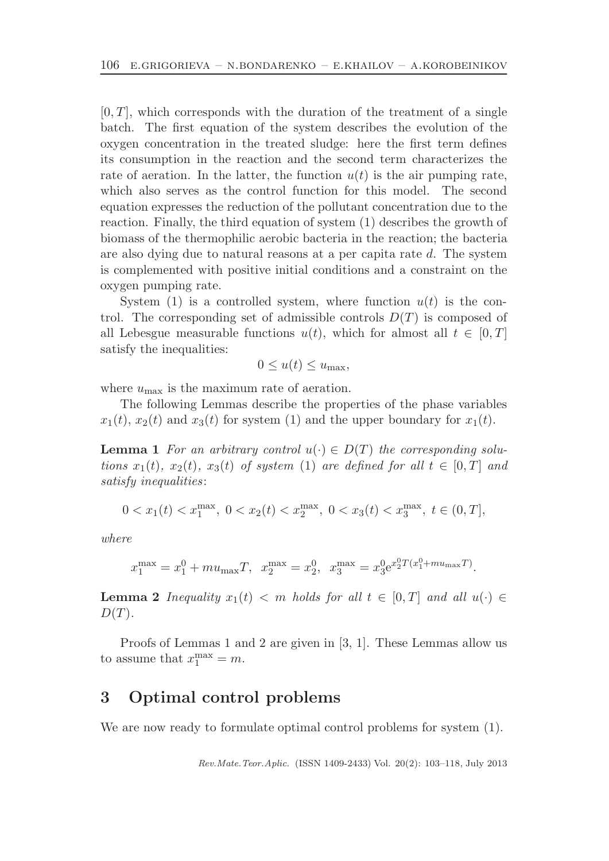$[0, T]$ , which corresponds with the duration of the treatment of a single batch. The first equation of the system describes the evolution of the oxygen concentration in the treated sludge: here the first term defines its consumption in the reaction and the second term characterizes the rate of aeration. In the latter, the function  $u(t)$  is the air pumping rate, which also serves as the control function for this model. The second equation expresses the reduction of the pollutant concentration due to the reaction. Finally, the third equation of system (1) describes the growth of biomass of the thermophilic aerobic bacteria in the reaction; the bacteria are also dying due to natural reasons at a per capita rate d. The system is complemented with positive initial conditions and a constraint on the oxygen pumping rate.

System (1) is a controlled system, where function  $u(t)$  is the control. The corresponding set of admissible controls  $D(T)$  is composed of all Lebesgue measurable functions  $u(t)$ , which for almost all  $t \in [0, T]$ satisfy the inequalities:

$$
0 \le u(t) \le u_{\max},
$$

where  $u_{\text{max}}$  is the maximum rate of aeration.

The following Lemmas describe the properties of the phase variables  $x_1(t)$ ,  $x_2(t)$  and  $x_3(t)$  for system (1) and the upper boundary for  $x_1(t)$ .

**Lemma 1** For an arbitrary control  $u(\cdot) \in D(T)$  the corresponding solutions  $x_1(t)$ ,  $x_2(t)$ ,  $x_3(t)$  of system (1) are defined for all  $t \in [0, T]$  and satisfy inequalities:

$$
0 < x_1(t) < x_1^{\max}, \ 0 < x_2(t) < x_2^{\max}, \ 0 < x_3(t) < x_3^{\max}, \ t \in (0, T],
$$

where

$$
x_1^{\max} = x_1^0 + m u_{\max} T
$$
,  $x_2^{\max} = x_2^0$ ,  $x_3^{\max} = x_3^0 e^{x_2^0 T (x_1^0 + m u_{\max} T)}$ .

**Lemma 2** Inequality  $x_1(t) < m$  holds for all  $t \in [0, T]$  and all  $u(\cdot) \in$  $D(T)$ .

Proofs of Lemmas 1 and 2 are given in [3, 1]. These Lemmas allow us to assume that  $x_1^{\max} = m$ .

#### 3 Optimal control problems

We are now ready to formulate optimal control problems for system (1).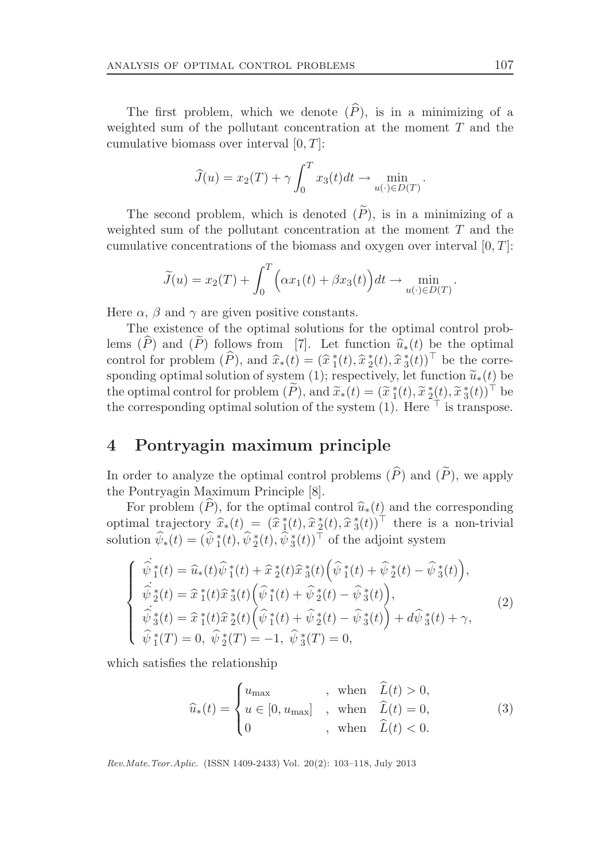The first problem, which we denote  $(\widehat{P})$ , is in a minimizing of a weighted sum of the pollutant concentration at the moment T and the cumulative biomass over interval  $[0, T]$ :

$$
\widehat{J}(u) = x_2(T) + \gamma \int_0^T x_3(t)dt \to \min_{u(\cdot) \in D(T)}.
$$

The second problem, which is denoted  $(\widetilde{P})$ , is in a minimizing of a weighted sum of the pollutant concentration at the moment  $T$  and the cumulative concentrations of the biomass and oxygen over interval  $[0, T]$ :

$$
\widetilde{J}(u) = x_2(T) + \int_0^T \left( \alpha x_1(t) + \beta x_3(t) \right) dt \to \min_{u(\cdot) \in D(T)}.
$$

Here  $\alpha$ ,  $\beta$  and  $\gamma$  are given positive constants.

The existence of the optimal solutions for the optimal control problems  $(\widehat{P})$  and  $(\widehat{P})$  follows from [7]. Let function  $\widehat{u}_*(t)$  be the optimal control for problem  $(\widehat{P})$ , and  $\widehat{x}_*(t) = (\widehat{x}_1^*(t), \widehat{x}_2^*(t), \widehat{x}_3^*(t))^{\top}$  be the corresponding optimal solution of system (1); respectively, let function  $\tilde{u}_*(t)$  be the optimal control for problem  $(\tilde{P})$ , and  $\tilde{x}_*(t) = (\tilde{x}_1^*(t), \tilde{x}_2^*(t), \tilde{x}_3^*(t))^{\top}$  be the corresponding optimal solution of the system (1). Here  $\top$  is transpose.

### 4 Pontryagin maximum principle

In order to analyze the optimal control problems  $(\widehat{P})$  and  $(\widetilde{P})$ , we apply the Pontryagin Maximum Principle [8].

For problem  $(\widehat{P})$ , for the optimal control  $\widehat{u}_*(t)$  and the corresponding optimal trajectory  $\hat{x}_*(t) = (\hat{x}_1^*(t), \hat{x}_2^*(t), \hat{x}_3^*(t))^{\top}$  there is a non-trivial solution  $\hat{\psi}_*(t) = (\hat{\psi}_1^*(t), \hat{\psi}_2^*(t), \hat{\psi}_3^*(t))^{\top}$  of the adjoint system

$$
\begin{cases}\n\hat{\psi}_{1}^{*}(t) = \hat{u}_{*}(t)\hat{\psi}_{1}^{*}(t) + \hat{x}_{2}^{*}(t)\hat{x}_{3}^{*}(t)\left(\hat{\psi}_{1}^{*}(t) + \hat{\psi}_{2}^{*}(t) - \hat{\psi}_{3}^{*}(t)\right), \\
\hat{\psi}_{2}^{*}(t) = \hat{x}_{1}^{*}(t)\hat{x}_{3}^{*}(t)\left(\hat{\psi}_{1}^{*}(t) + \hat{\psi}_{2}^{*}(t) - \hat{\psi}_{3}^{*}(t)\right), \\
\hat{\psi}_{3}^{*}(t) = \hat{x}_{1}^{*}(t)\hat{x}_{2}^{*}(t)\left(\hat{\psi}_{1}^{*}(t) + \hat{\psi}_{2}^{*}(t) - \hat{\psi}_{3}^{*}(t)\right) + d\hat{\psi}_{3}^{*}(t) + \gamma, \\
\hat{\psi}_{1}^{*}(T) = 0, \ \hat{\psi}_{2}^{*}(T) = -1, \ \hat{\psi}_{3}^{*}(T) = 0,\n\end{cases}
$$
\n(2)

which satisfies the relationship

$$
\widehat{u}_*(t) = \begin{cases}\nu_{\text{max}} & , \text{ when } \widehat{L}(t) > 0, \\ u \in [0, u_{\text{max}}] & , \text{ when } \widehat{L}(t) = 0, \\ 0 & , \text{ when } \widehat{L}(t) < 0.\end{cases}
$$
\n(3)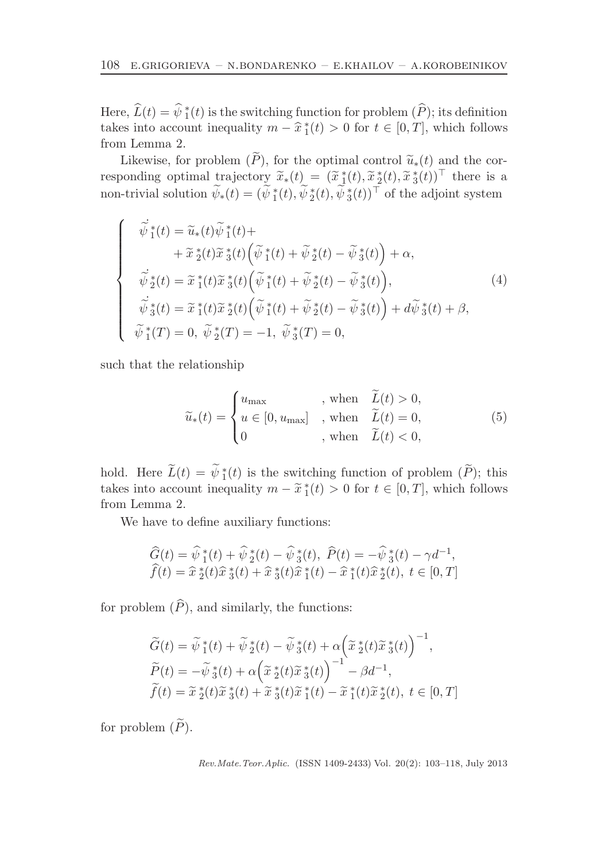Here,  $\widehat{L}(t) = \widehat{\psi}_1^*(t)$  is the switching function for problem  $(\widehat{P})$ ; its definition takes into account inequality  $m - \hat{x}^*_{1}(t) > 0$  for  $t \in [0, T]$ , which follows from Lemma 2.

Likewise, for problem  $(\widetilde{P})$ , for the optimal control  $\widetilde{u}_*(t)$  and the corresponding optimal trajectory  $\widetilde{x}_*(t) = (\widetilde{x}_1^*(t), \widetilde{x}_2^*(t), \widetilde{x}_3^*(t))^{\top}$  there is a non-trivial solution  $\widetilde{\psi}_*(t) = (\widetilde{\psi}_1^*(t), \widetilde{\psi}_2^*(t), \widetilde{\psi}_3^*(t))^{\top}$  of the adjoint system

$$
\begin{cases}\n\vec{\psi}_{1}^{*}(t) = \tilde{u}_{*}(t)\tilde{\psi}_{1}^{*}(t) + \\
+ \tilde{x}_{2}^{*}(t)\tilde{x}_{3}^{*}(t)\left(\tilde{\psi}_{1}^{*}(t) + \tilde{\psi}_{2}^{*}(t) - \tilde{\psi}_{3}^{*}(t)\right) + \alpha, \\
\vec{\psi}_{2}^{*}(t) = \tilde{x}_{1}^{*}(t)\tilde{x}_{3}^{*}(t)\left(\tilde{\psi}_{1}^{*}(t) + \tilde{\psi}_{2}^{*}(t) - \tilde{\psi}_{3}^{*}(t)\right), \\
\vec{\psi}_{3}^{*}(t) = \tilde{x}_{1}^{*}(t)\tilde{x}_{2}^{*}(t)\left(\tilde{\psi}_{1}^{*}(t) + \tilde{\psi}_{2}^{*}(t) - \tilde{\psi}_{3}^{*}(t)\right) + d\tilde{\psi}_{3}^{*}(t) + \beta, \\
\tilde{\psi}_{1}^{*}(T) = 0, \ \tilde{\psi}_{2}^{*}(T) = -1, \ \tilde{\psi}_{3}^{*}(T) = 0,\n\end{cases}
$$
\n(4)

such that the relationship

$$
\widetilde{u}_*(t) = \begin{cases}\nu_{\text{max}} & , \text{ when } \widetilde{L}(t) > 0, \\
u \in [0, u_{\text{max}}] & , \text{ when } \widetilde{L}(t) = 0, \\
0 & , \text{ when } \widetilde{L}(t) < 0,\n\end{cases}
$$
\n(5)

hold. Here  $\tilde{L}(t) = \tilde{\psi}_1^*(t)$  is the switching function of problem  $(\tilde{P})$ ; this takes into account inequality  $m - \tilde{x}_1^*(t) > 0$  for  $t \in [0, T]$ , which follows from Lemma 2.

We have to define auxiliary functions:

$$
\widehat{G}(t) = \widehat{\psi}_{1}^{*}(t) + \widehat{\psi}_{2}^{*}(t) - \widehat{\psi}_{3}^{*}(t), \ \widehat{P}(t) = -\widehat{\psi}_{3}^{*}(t) - \gamma d^{-1}, \n\widehat{f}(t) = \widehat{x}_{2}^{*}(t)\widehat{x}_{3}^{*}(t) + \widehat{x}_{3}^{*}(t)\widehat{x}_{1}^{*}(t) - \widehat{x}_{1}^{*}(t)\widehat{x}_{2}^{*}(t), \ t \in [0, T]
$$

for problem  $(\widehat{P})$ , and similarly, the functions:

$$
\widetilde{G}(t) = \widetilde{\psi}_{1}^{*}(t) + \widetilde{\psi}_{2}^{*}(t) - \widetilde{\psi}_{3}^{*}(t) + \alpha \left(\widetilde{x}_{2}^{*}(t)\widetilde{x}_{3}^{*}(t)\right)^{-1},
$$
  
\n
$$
\widetilde{P}(t) = -\widetilde{\psi}_{3}^{*}(t) + \alpha \left(\widetilde{x}_{2}^{*}(t)\widetilde{x}_{3}^{*}(t)\right)^{-1} - \beta d^{-1},
$$
  
\n
$$
\widetilde{f}(t) = \widetilde{x}_{2}^{*}(t)\widetilde{x}_{3}^{*}(t) + \widetilde{x}_{3}^{*}(t)\widetilde{x}_{1}^{*}(t) - \widetilde{x}_{1}^{*}(t)\widetilde{x}_{2}^{*}(t), t \in [0, T]
$$

for problem  $(\widetilde{P})$ .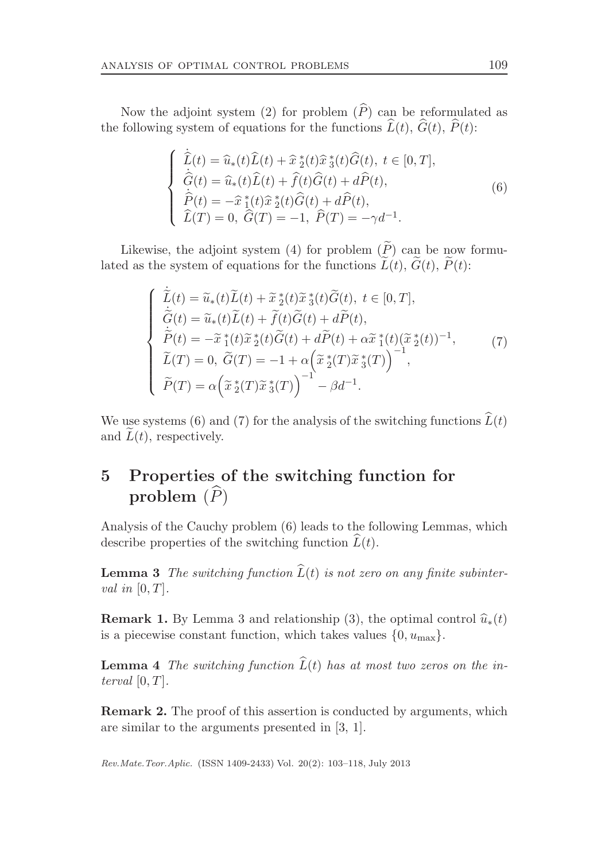Now the adjoint system (2) for problem  $(\widehat{P})$  can be reformulated as the following system of equations for the functions  $\widehat{L}(t)$ ,  $\widehat{G}(t)$ ,  $\widehat{P}(t)$ :

$$
\begin{cases}\n\dot{\hat{L}}(t) = \hat{u}_*(t)\hat{L}(t) + \hat{x}_2^*(t)\hat{x}_3^*(t)\hat{G}(t), t \in [0, T], \\
\dot{\hat{G}}(t) = \hat{u}_*(t)\hat{L}(t) + \hat{f}(t)\hat{G}(t) + d\hat{P}(t), \\
\dot{\hat{P}}(t) = -\hat{x}_1^*(t)\hat{x}_2^*(t)\hat{G}(t) + d\hat{P}(t), \\
\hat{L}(T) = 0, \ \hat{G}(T) = -1, \ \hat{P}(T) = -\gamma d^{-1}.\n\end{cases}
$$
\n(6)

Likewise, the adjoint system (4) for problem  $(\widetilde{P})$  can be now formulated as the system of equations for the functions  $\widetilde{L}(t)$ ,  $\widetilde{G}(t)$ ,  $\widetilde{P}(t)$ :

$$
\begin{cases}\n\dot{\tilde{L}}(t) = \tilde{u}_*(t)\tilde{L}(t) + \tilde{x}_2^*(t)\tilde{x}_3^*(t)\tilde{G}(t), t \in [0, T], \\
\dot{\tilde{G}}(t) = \tilde{u}_*(t)\tilde{L}(t) + \tilde{f}(t)\tilde{G}(t) + d\tilde{P}(t), \\
\dot{\tilde{P}}(t) = -\tilde{x}_1^*(t)\tilde{x}_2^*(t)\tilde{G}(t) + d\tilde{P}(t) + \alpha \tilde{x}_1^*(t)(\tilde{x}_2^*(t))^{-1}, \\
\tilde{L}(T) = 0, \tilde{G}(T) = -1 + \alpha \left(\tilde{x}_2^*(T)\tilde{x}_3^*(T)\right)^{-1}, \\
\tilde{P}(T) = \alpha \left(\tilde{x}_2^*(T)\tilde{x}_3^*(T)\right)^{-1} - \beta d^{-1}.\n\end{cases} (7)
$$

We use systems (6) and (7) for the analysis of the switching functions  $\widehat{L}(t)$ and  $\tilde{L}(t)$ , respectively.

## 5 Properties of the switching function for problem  $(\widehat{P})$

Analysis of the Cauchy problem (6) leads to the following Lemmas, which describe properties of the switching function  $L(t)$ .

**Lemma 3** The switching function  $\widehat{L}(t)$  is not zero on any finite subinterval in  $[0, T]$ .

**Remark 1.** By Lemma 3 and relationship (3), the optimal control  $\hat{u}_*(t)$ is a piecewise constant function, which takes values  $\{0, u_{\text{max}}\}.$ 

**Lemma 4** The switching function  $\widehat{L}(t)$  has at most two zeros on the interval  $[0, T]$ .

Remark 2. The proof of this assertion is conducted by arguments, which are similar to the arguments presented in [3, 1].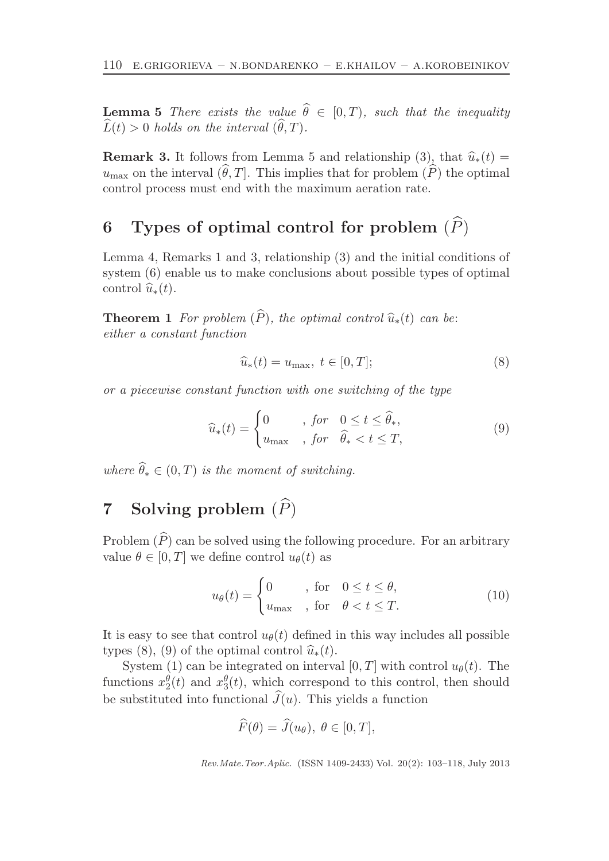**Lemma 5** There exists the value  $\theta \in [0, T)$ , such that the inequality  $\widehat{L}(t) > 0$  holds on the interval  $(\widehat{\theta}, T)$ .

**Remark 3.** It follows from Lemma 5 and relationship (3), that  $\hat{u}_*(t) =$  $u_{\text{max}}$  on the interval  $(\widehat{\theta}, T]$ . This implies that for problem  $(\widehat{P})$  the optimal control process must end with the maximum aeration rate.

## 6 Types of optimal control for problem  $(\widehat{P})$

Lemma 4, Remarks 1 and 3, relationship (3) and the initial conditions of system (6) enable us to make conclusions about possible types of optimal control  $\widehat{u}_*(t)$ .

**Theorem 1** For problem  $(\widehat{P})$ , the optimal control  $\widehat{u}_*(t)$  can be: either a constant function

$$
\widehat{u}_*(t) = u_{\text{max}}, \ t \in [0, T]; \tag{8}
$$

or a piecewise constant function with one switching of the type

$$
\widehat{u}_*(t) = \begin{cases}\n0 & , \text{ for } 0 \le t \le \widehat{\theta}_*, \\
u_{\text{max}} & , \text{ for } \widehat{\theta}_* < t \le T,\n\end{cases}
$$
\n(9)

where  $\theta_* \in (0, T)$  is the moment of switching.

## 7 Solving problem  $(\widehat{P})$

Problem  $(\widehat{P})$  can be solved using the following procedure. For an arbitrary value  $\theta \in [0, T]$  we define control  $u_{\theta}(t)$  as

$$
u_{\theta}(t) = \begin{cases} 0 & , \text{ for } 0 \le t \le \theta, \\ u_{\text{max}} & , \text{ for } \theta < t \le T. \end{cases}
$$
 (10)

It is easy to see that control  $u_{\theta}(t)$  defined in this way includes all possible types (8), (9) of the optimal control  $\hat{u}_*(t)$ .

System (1) can be integrated on interval [0, T] with control  $u_{\theta}(t)$ . The functions  $x_2^{\theta}(t)$  and  $x_3^{\theta}(t)$ , which correspond to this control, then should be substituted into functional  $J(u)$ . This yields a function

$$
\widehat{F}(\theta) = \widehat{J}(u_{\theta}), \ \theta \in [0, T],
$$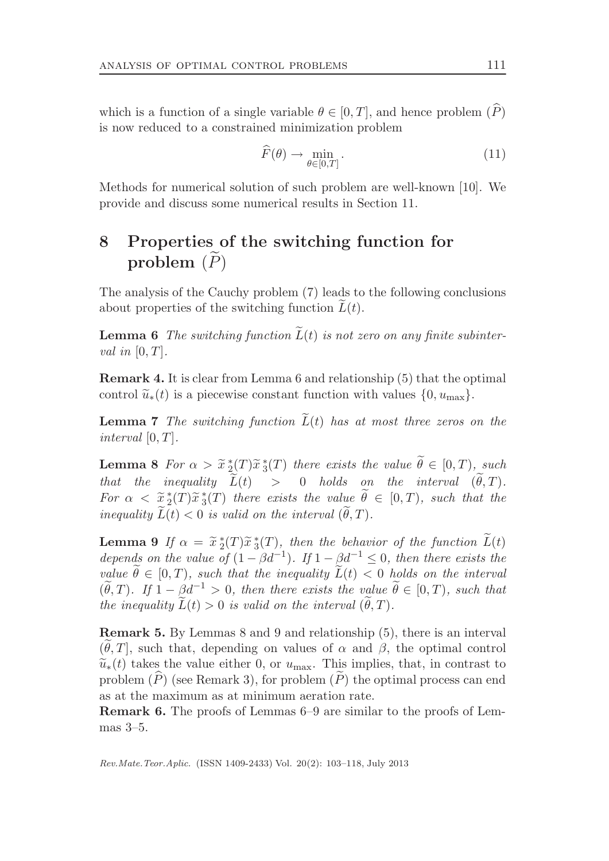which is a function of a single variable  $\theta \in [0, T]$ , and hence problem  $(P)$ is now reduced to a constrained minimization problem

$$
\widehat{F}(\theta) \to \min_{\theta \in [0,T]}.
$$
\n(11)

Methods for numerical solution of such problem are well-known [10]. We provide and discuss some numerical results in Section 11.

### 8 Properties of the switching function for problem  $(\widetilde{P})$

The analysis of the Cauchy problem (7) leads to the following conclusions about properties of the switching function  $L(t)$ .

**Lemma 6** The switching function  $\widetilde{L}(t)$  is not zero on any finite subinterval in  $[0, T]$ .

Remark 4. It is clear from Lemma 6 and relationship (5) that the optimal control  $\tilde{u}_*(t)$  is a piecewise constant function with values  $\{0, u_{\text{max}}\}.$ 

**Lemma 7** The switching function  $\tilde{L}(t)$  has at most three zeros on the interval  $[0, T]$ .

**Lemma 8** For  $\alpha > \tilde{x}^*_{\tilde{2}}(T)\tilde{x}^*_{\tilde{3}}(T)$  there exists the value  $\tilde{\theta} \in [0, T)$ , such that the inequality  $\widetilde{L}(t) > 0$  holds on the interval  $(\widetilde{\theta}, T)$ . For  $\alpha < \tilde{x}_{2}^{*}(T)\tilde{x}_{3}^{*}(T)$  there exists the value  $\tilde{\theta} \in [0, T)$ , such that the inequality  $\widetilde{L}(t) < 0$  is valid on the interval  $(\widetilde{\theta}, T)$ .

**Lemma 9** If  $\alpha = \tilde{x} * (T) \tilde{x} * (T)$ , then the behavior of the function  $\tilde{L}(t)$ depends on the value of  $(1 - \beta d^{-1})$ . If  $1 - \beta d^{-1} \leq 0$ , then there exists the value  $\theta \in [0, T)$ , such that the inequality  $L(t) < 0$  holds on the interval  $(\widetilde{\theta}, T)$ . If  $1 - \underline{\beta}d^{-1} > 0$ , then there exists the value  $\widetilde{\theta} \in [0, T)$ , such that the inequality  $\widetilde{L}(t) > 0$  is valid on the interval  $(\widetilde{\theta}, T)$ .

Remark 5. By Lemmas 8 and 9 and relationship (5), there is an interval  $(\theta, T]$ , such that, depending on values of  $\alpha$  and  $\beta$ , the optimal control  $\widetilde{u}_*(t)$  takes the value either 0, or  $u_{\text{max}}$ . This implies, that, in contrast to problem  $(P)$  (see Remark 3), for problem  $(P)$  the optimal process can end as at the maximum as at minimum aeration rate.

Remark 6. The proofs of Lemmas 6–9 are similar to the proofs of Lemmas 3–5.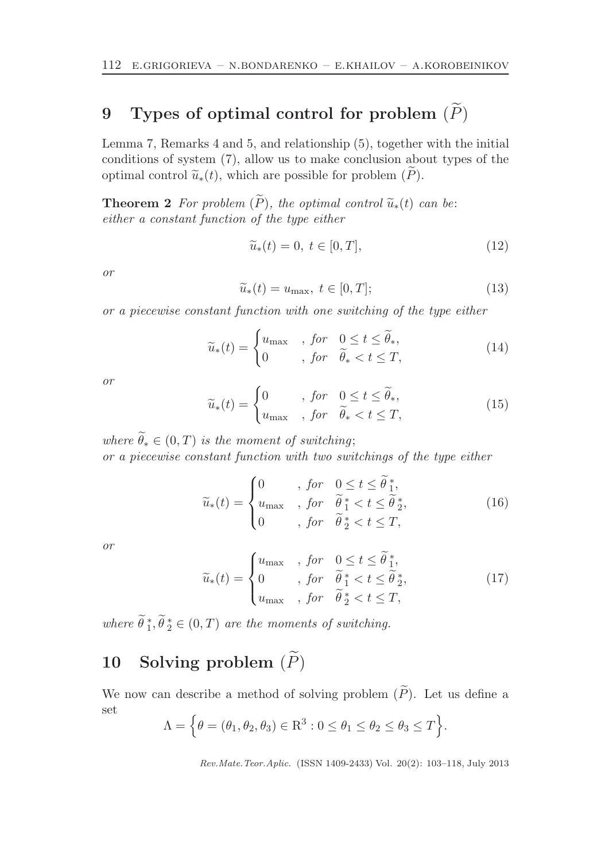## 9 Types of optimal control for problem  $(\widetilde{P})$

Lemma 7, Remarks 4 and 5, and relationship (5), together with the initial conditions of system (7), allow us to make conclusion about types of the optimal control  $\tilde{u}_*(t)$ , which are possible for problem  $(P)$ .

**Theorem 2** For problem  $(\widetilde{P})$ , the optimal control  $\widetilde{u}_*(t)$  can be: either a constant function of the type either

$$
\widetilde{u}_*(t) = 0, \ t \in [0, T], \tag{12}
$$

or

$$
\widetilde{u}_*(t) = u_{\text{max}}, \ t \in [0, T]; \tag{13}
$$

or a piecewise constant function with one switching of the type either

$$
\widetilde{u}_*(t) = \begin{cases} u_{\text{max}} & , \text{ for } 0 \le t \le \widetilde{\theta}_*, \\ 0 & , \text{ for } \widetilde{\theta}_* < t \le T, \end{cases}
$$
\n(14)

or

$$
\widetilde{u}_*(t) = \begin{cases}\n0 & , \text{ for } 0 \le t \le \widetilde{\theta}_*, \\
u_{\text{max}} & , \text{ for } \widetilde{\theta}_* < t \le T,\n\end{cases} \tag{15}
$$

where  $\theta_* \in (0,T)$  is the moment of switching; or a piecewise constant function with two switchings of the type either

$$
\widetilde{u}_*(t) = \begin{cases}\n0 & , \text{ for } 0 \le t \le \widetilde{\theta}_1^*, \\
u_{\text{max}} & , \text{ for } \widetilde{\theta}_1^* < t \le \widetilde{\theta}_2^*, \\
0 & , \text{ for } \widetilde{\theta}_2^* < t \le T,\n\end{cases} \tag{16}
$$

or

$$
\widetilde{u}_{*}(t) = \begin{cases}\nu_{\text{max}} & , \text{ for } 0 \leq t \leq \widetilde{\theta}_{1}^{*}, \\
0 & , \text{ for } \widetilde{\theta}_{1}^{*} < t \leq \widetilde{\theta}_{2}^{*}, \\
u_{\text{max}} & , \text{ for } \widetilde{\theta}_{2}^{*} < t \leq T,\n\end{cases} \tag{17}
$$

where  $\hat{\theta}_1^*, \hat{\theta}_2^* \in (0, T)$  are the moments of switching.

# 10 Solving problem  $(\widetilde{P})$

We now can describe a method of solving problem  $(\widetilde{P})$ . Let us define a set

$$
\Lambda = \Big\{\theta = (\theta_1, \theta_2, \theta_3) \in \mathbb{R}^3 : 0 \le \theta_1 \le \theta_2 \le \theta_3 \le T\Big\}.
$$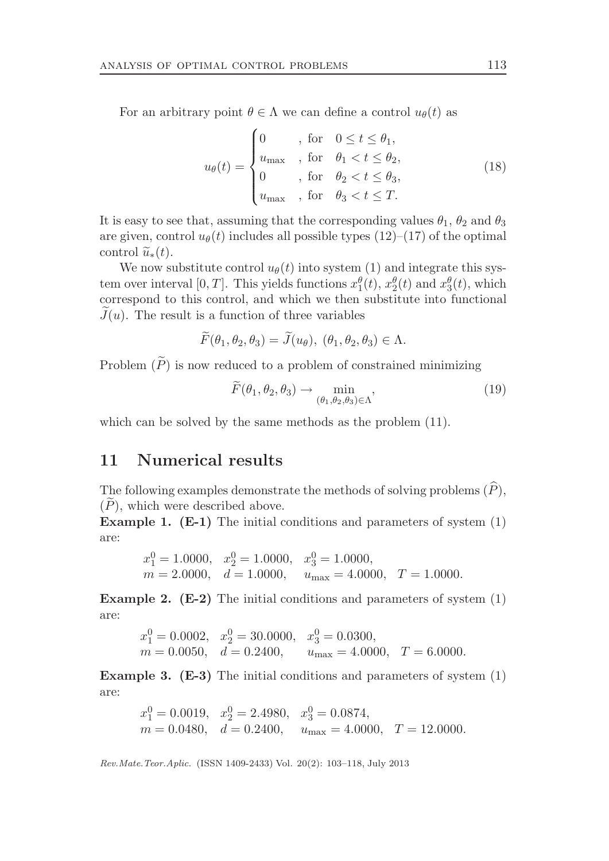For an arbitrary point  $\theta \in \Lambda$  we can define a control  $u_{\theta}(t)$  as

$$
u_{\theta}(t) = \begin{cases} 0 & , \text{ for } 0 \leq t \leq \theta_1, \\ u_{\text{max}} & , \text{ for } \theta_1 < t \leq \theta_2, \\ 0 & , \text{ for } \theta_2 < t \leq \theta_3, \\ u_{\text{max}} & , \text{ for } \theta_3 < t \leq T. \end{cases}
$$
(18)

It is easy to see that, assuming that the corresponding values  $\theta_1$ ,  $\theta_2$  and  $\theta_3$ are given, control  $u_{\theta}(t)$  includes all possible types (12)–(17) of the optimal control  $\widetilde{u}_*(t)$ .

We now substitute control  $u_{\theta}(t)$  into system (1) and integrate this system over interval [0, T]. This yields functions  $x_1^{\theta}(t)$ ,  $x_2^{\theta}(t)$  and  $x_3^{\theta}(t)$ , which correspond to this control, and which we then substitute into functional  $J(u)$ . The result is a function of three variables

$$
\widetilde{F}(\theta_1, \theta_2, \theta_3) = \widetilde{J}(u_{\theta}), \ (\theta_1, \theta_2, \theta_3) \in \Lambda.
$$

Problem  $(P)$  is now reduced to a problem of constrained minimizing

$$
\widetilde{F}(\theta_1, \theta_2, \theta_3) \to \min_{(\theta_1, \theta_2, \theta_3) \in \Lambda},
$$
\n(19)

which can be solved by the same methods as the problem (11).

#### 11 Numerical results

The following examples demonstrate the methods of solving problems  $(\widehat{P})$ , (P), which were described above.

Example 1. (E-1) The initial conditions and parameters of system (1) are:

$$
x_1^0 = 1.0000
$$
,  $x_2^0 = 1.0000$ ,  $x_3^0 = 1.0000$ ,  
\n $m = 2.0000$ ,  $d = 1.0000$ ,  $u_{\text{max}} = 4.0000$ ,  $T = 1.0000$ .

**Example 2.** ( $E-2$ ) The initial conditions and parameters of system  $(1)$ are:

$$
x_1^0 = 0.0002
$$
,  $x_2^0 = 30.0000$ ,  $x_3^0 = 0.0300$ ,  
\n $m = 0.0050$ ,  $d = 0.2400$ ,  $u_{\text{max}} = 4.0000$ ,  $T = 6.0000$ .

**Example 3.** ( $E-3$ ) The initial conditions and parameters of system  $(1)$ are:

$$
x_1^0 = 0.0019
$$
,  $x_2^0 = 2.4980$ ,  $x_3^0 = 0.0874$ ,  
\n $m = 0.0480$ ,  $d = 0.2400$ ,  $u_{\text{max}} = 4.0000$ ,  $T = 12.0000$ .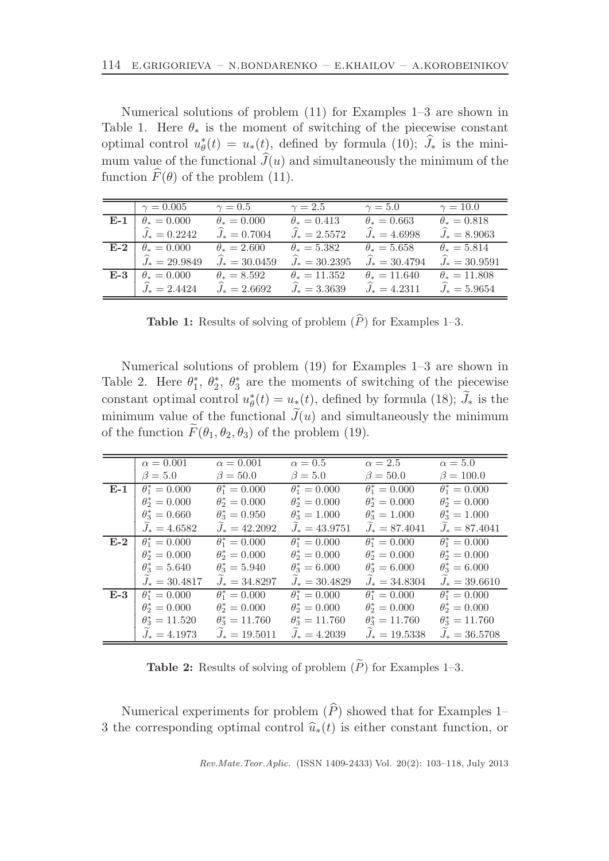Numerical solutions of problem (11) for Examples 1–3 are shown in Table 1. Here  $\theta_*$  is the moment of switching of the piecewise constant optimal control  $u^*_{\theta}(t) = u_*(t)$ , defined by formula (10);  $\widehat{J}_*$  is the minimum value of the functional  $J(u)$  and simultaneously the minimum of the function  $\widehat{F}(\theta)$  of the problem (11).

|       | $\gamma = 0.005$     | $\gamma=0.5$             | $\gamma = 2.5$           | $\gamma = 5.0$           | $\gamma = 10.0$          |
|-------|----------------------|--------------------------|--------------------------|--------------------------|--------------------------|
| $E-1$ | $\theta_* = 0.000$   | $\theta_* = 0.000$       | $\theta_* = 0.413$       | $\theta_* = 0.663$       | $\theta_* = 0.818$       |
|       | $\hat{J}_* = 0.2242$ | $\widehat{J}_* = 0.7004$ | $\widehat{J}_* = 2.5572$ | $\widehat{J}_* = 4.6998$ | $\widehat{J}_* = 8.9063$ |
| $E-2$ | $\theta_* = 0.000$   | $\theta_* = 2.600$       | $\theta_* = 5.382$       | $\theta_* = 5.658$       | $\theta_* = 5.814$       |
|       | $J_* = 29.9849$      | $J_* = 30.0459$          | $\hat{J}_* = 30.2395$    | $J_* = 30.4794$          | $\hat{J}_* = 30.9591$    |
| $E-3$ | $\theta_* = 0.000$   | $\theta_* = 8.592$       | $\theta_* = 11.352$      | $\theta_* = 11.640$      | $\theta_* = 11.808$      |
|       | $J_* = 2.4424$       | $J_* = 2.6692$           | $J_* = 3.3639$           | $J_* = 4.2311$           | $J_* = 5.9654$           |

**Table 1:** Results of solving of problem  $(\widehat{P})$  for Examples 1–3.

Numerical solutions of problem (19) for Examples 1–3 are shown in Table 2. Here  $\theta_1^*, \theta_2^*, \theta_3^*$  are the moments of switching of the piecewise constant optimal control  $u^*_{\theta}(t) = u_*(t)$ , defined by formula (18);  $\widetilde{J}_*$  is the minimum value of the functional  $J(u)$  and simultaneously the minimum of the function  $\widetilde{F}(\theta_1, \theta_2, \theta_3)$  of the problem (19).

|       | $\alpha = 0.001$      | $\alpha = 0.001$      | $\alpha = 0.5$           | $\alpha = 2.5$           | $\alpha = 5.0$        |
|-------|-----------------------|-----------------------|--------------------------|--------------------------|-----------------------|
|       | $\beta = 5.0$         | $\beta = 50.0$        | $\beta = 5.0$            | $\beta = 50.0$           | $\beta = 100.0$       |
| E-1   | $\theta_1^* = 0.000$  | $\theta_1^* = 0.000$  | $\theta_1^* = 0.000$     | $\theta_1^* = 0.000$     | $\theta_1^* = 0.000$  |
|       | $\theta_2^* = 0.000$  | $\theta_2^* = 0.000$  | $\theta_2^* = 0.000$     | $\theta_2^* = 0.000$     | $\theta_2^* = 0.000$  |
|       | $\theta^*_3 = 0.660$  | $\theta^*_3 = 0.950$  | $\theta_{3}^{*} = 1.000$ | $\theta_{3}^{*} = 1.000$ | $\theta^*_3 = 1.000$  |
|       | $J_* = 4.6582$        | $J_* = 42.2092$       | $J_* = 43.9751$          | $J_* = 87.4041$          | $J_* = 87.4041$       |
| $E-2$ | $\theta_1^* = 0.000$  | $\theta_1^* = 0.000$  | $\theta_1^* = 0.000$     | $\theta_1^* = 0.000$     | $\theta_1^* = 0.000$  |
|       | $\theta_2^* = 0.000$  | $\theta_2^* = 0.000$  | $\theta_2^* = 0.000$     | $\theta_2^* = 0.000$     | $\theta_2^* = 0.000$  |
|       | $\theta^*_3 = 5.640$  | $\theta^*_3 = 5.940$  | $\theta_3^* = 6.000$     | $\theta^*_3 = 6.000$     | $\theta^*_3 = 6.000$  |
|       | $J_* = 30.4817$       | $J_* = 34.8297$       | $J_* = 30.4829$          | $J_* = 34.8304$          | $J_* = 39.6610$       |
| $E-3$ | $\theta_1^* = 0.000$  | $\theta_1^* = 0.000$  | $\theta_1^* = 0.000$     | $\theta_1^* = 0.000$     | $\theta_1^* = 0.000$  |
|       | $\theta_2^* = 0.000$  | $\theta_2^* = 0.000$  | $\theta_2^* = 0.000$     | $\theta_2^* = 0.000$     | $\theta_2^* = 0.000$  |
|       | $\theta^*_3 = 11.520$ | $\theta^*_3 = 11.760$ | $\theta^*_3 = 11.760$    | $\theta^*_3 = 11.760$    | $\theta^*_3 = 11.760$ |
|       | $J_* = 4.1973$        | $J_* = 19.5011$       | $J_* = 4.2039$           | $J_* = 19.5338$          | $J_* = 36.5708$       |

**Table 2:** Results of solving of problem  $(\widetilde{P})$  for Examples 1–3.

Numerical experiments for problem  $(\widehat{P})$  showed that for Examples 1– 3 the corresponding optimal control  $\hat{u}_*(t)$  is either constant function, or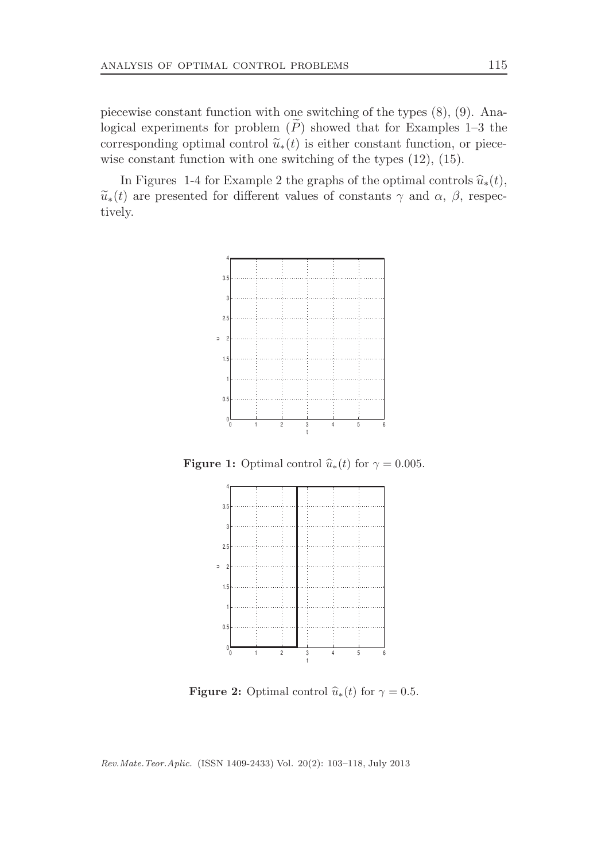piecewise constant function with one switching of the types (8), (9). Analogical experiments for problem  $(P)$  showed that for Examples 1–3 the corresponding optimal control  $\tilde{u}_*(t)$  is either constant function, or piecewise constant function with one switching of the types (12), (15).

In Figures 1-4 for Example 2 the graphs of the optimal controls  $\hat{u}_*(t)$ ,  $\widetilde{u}_*(t)$  are presented for different values of constants  $\gamma$  and  $\alpha$ ,  $\beta$ , respectively.



**Figure 1:** Optimal control  $\hat{u}_*(t)$  for  $\gamma = 0.005$ .



**Figure 2:** Optimal control  $\hat{u}_*(t)$  for  $\gamma = 0.5$ .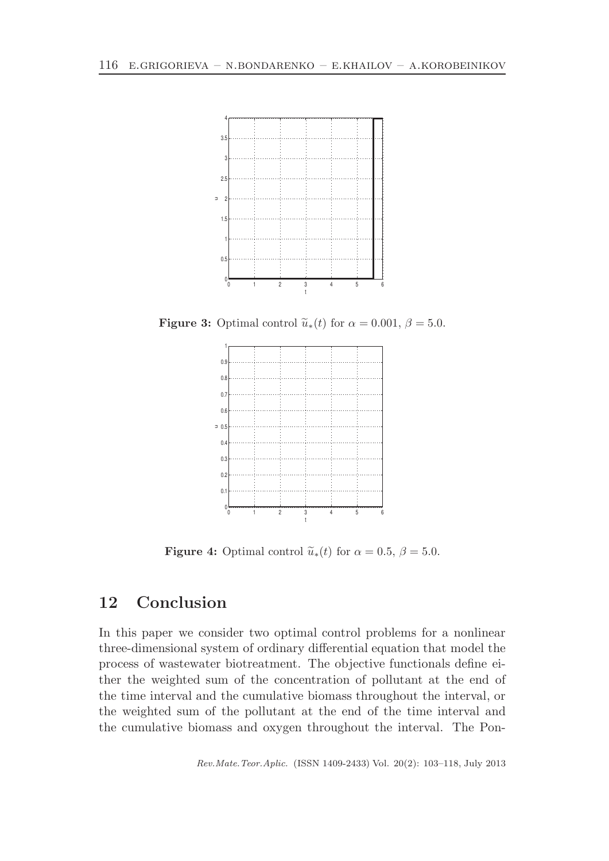

**Figure 3:** Optimal control  $\tilde{u}_*(t)$  for  $\alpha = 0.001$ ,  $\beta = 5.0$ .



**Figure 4:** Optimal control  $\tilde{u}_*(t)$  for  $\alpha = 0.5$ ,  $\beta = 5.0$ .

### 12 Conclusion

In this paper we consider two optimal control problems for a nonlinear three-dimensional system of ordinary differential equation that model the process of wastewater biotreatment. The objective functionals define either the weighted sum of the concentration of pollutant at the end of the time interval and the cumulative biomass throughout the interval, or the weighted sum of the pollutant at the end of the time interval and the cumulative biomass and oxygen throughout the interval. The Pon-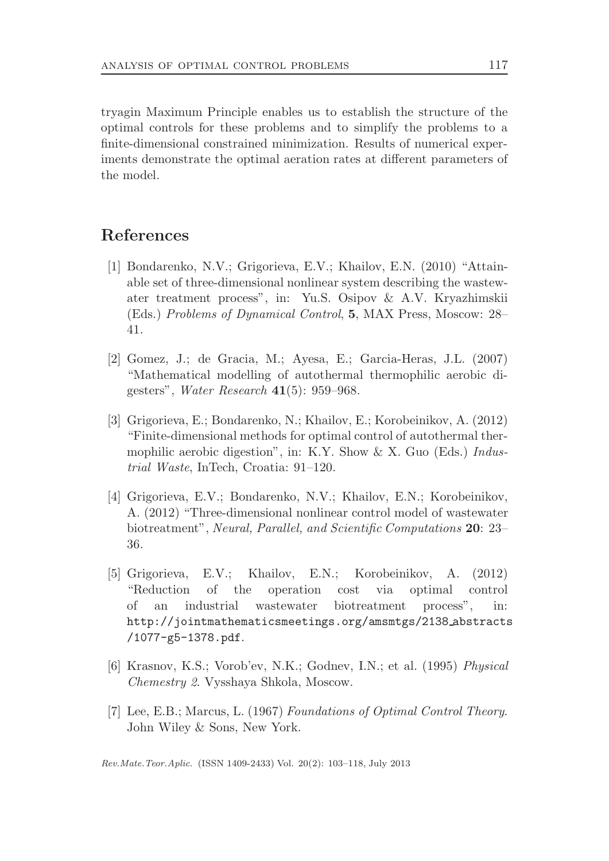tryagin Maximum Principle enables us to establish the structure of the optimal controls for these problems and to simplify the problems to a finite-dimensional constrained minimization. Results of numerical experiments demonstrate the optimal aeration rates at different parameters of the model.

### References

- [1] Bondarenko, N.V.; Grigorieva, E.V.; Khailov, E.N. (2010) "Attainable set of three-dimensional nonlinear system describing the wastewater treatment process", in: Yu.S. Osipov & A.V. Kryazhimskii (Eds.) Problems of Dynamical Control, 5, MAX Press, Moscow: 28– 41.
- [2] Gomez, J.; de Gracia, M.; Ayesa, E.; Garcia-Heras, J.L. (2007) "Mathematical modelling of autothermal thermophilic aerobic digesters", Water Research 41(5): 959–968.
- [3] Grigorieva, E.; Bondarenko, N.; Khailov, E.; Korobeinikov, A. (2012) "Finite-dimensional methods for optimal control of autothermal thermophilic aerobic digestion", in: K.Y. Show & X. Guo (Eds.) *Indus*trial Waste, InTech, Croatia: 91–120.
- [4] Grigorieva, E.V.; Bondarenko, N.V.; Khailov, E.N.; Korobeinikov, A. (2012) "Three-dimensional nonlinear control model of wastewater biotreatment", Neural, Parallel, and Scientific Computations 20: 23– 36.
- [5] Grigorieva, E.V.; Khailov, E.N.; Korobeinikov, A. (2012) "Reduction of the operation cost via optimal control of an industrial wastewater biotreatment process", in: http://jointmathematicsmeetings.org/amsmtgs/2138 abstracts /1077-g5-1378.pdf.
- [6] Krasnov, K.S.; Vorob'ev, N.K.; Godnev, I.N.; et al. (1995) Physical Chemestry 2. Vysshaya Shkola, Moscow.
- [7] Lee, E.B.; Marcus, L. (1967) Foundations of Optimal Control Theory. John Wiley & Sons, New York.